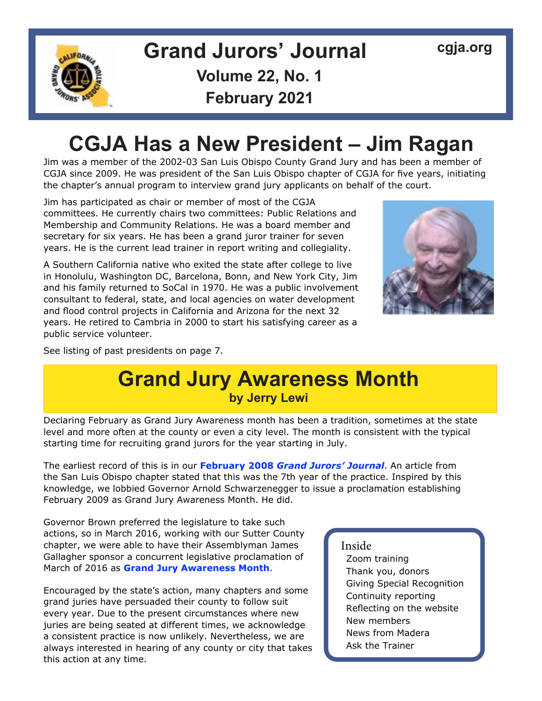

# **Grand Jurors' Journal [cgja.org](http://cgja.org) Volume 22, No. 1**

**February 2021**

## **CGJA Has a New President – Jim Ragan**

Jim was a member of the 2002-03 San Luis Obispo County Grand Jury and has been a member of CGJA since 2009. He was president of the San Luis Obispo chapter of CGJA for five years, initiating the chapter's annual program to interview grand jury applicants on behalf of the court.

Jim has participated as chair or member of most of the CGJA committees. He currently chairs two committees: Public Relations and Membership and Community Relations. He was a board member and secretary for six years. He has been a grand juror trainer for seven years. He is the current lead trainer in report writing and collegiality.

A Southern California native who exited the state after college to live in Honolulu, Washington DC, Barcelona, Bonn, and New York City, Jim and his family returned to SoCal in 1970. He was a public involvement consultant to federal, state, and local agencies on water development and flood control projects in California and Arizona for the next 32 years. He retired to Cambria in 2000 to start his satisfying career as a public service volunteer.



See listing of past presidents on page 7.

### **Grand Jury Awareness Month by Jerry Lewi**

Declaring February as Grand Jury Awareness month has been a tradition, sometimes at the state level and more often at the county or even a city level. The month is consistent with the typical starting time for recruiting grand jurors for the year starting in July.

The earliest record of this is in our **February 2008** *[Grand Jurors' Journal](https://cgja.org/sites/default/files/cgjajournalapril2016.pdf)*. An article from the San Luis Obispo chapter stated that this was the 7th year of the practice. Inspired by this knowledge, we lobbied Governor Arnold Schwarzenegger to issue a proclamation establishing February 2009 as Grand Jury Awareness Month. He did.

Governor Brown preferred the legislature to take such actions, so in March 2016, working with our Sutter County chapter, we were able to have their Assemblyman James Gallagher sponsor a concurrent legislative proclamation of March of 2016 as **[Grand Jury Awareness Month](https://cgja.org/sites/default/files/cgjajournalapril2016.pdf)**.

Encouraged by the state's action, many chapters and some grand juries have persuaded their county to follow suit every year. Due to the present circumstances where new juries are being seated at different times, we acknowledge a consistent practice is now unlikely. Nevertheless, we are always interested in hearing of any county or city that takes this action at any time.

### Inside

Zoom training Thank you, donors Giving Special Recognition Continuity reporting Reflecting on the website New members News from Madera Ask the Trainer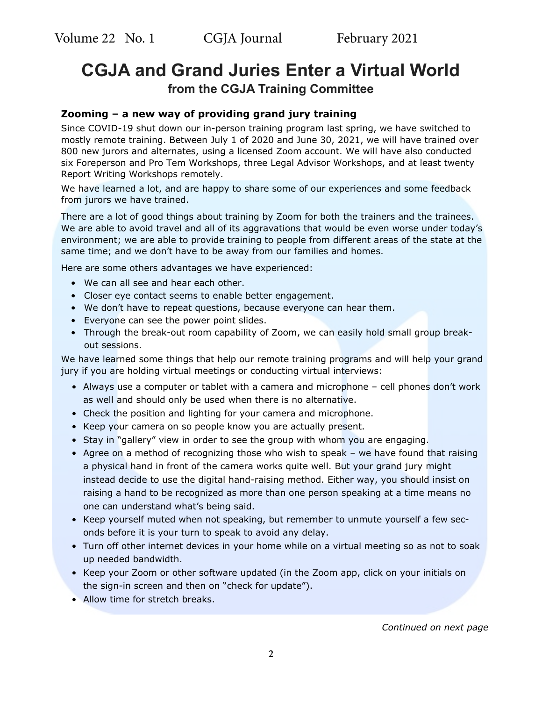### **CGJA and Grand Juries Enter a Virtual World from the CGJA Training Committee**

### **Zooming – a new way of providing grand jury training**

Since COVID-19 shut down our in-person training program last spring, we have switched to mostly remote training. Between July 1 of 2020 and June 30, 2021, we will have trained over 800 new jurors and alternates, using a licensed Zoom account. We will have also conducted six Foreperson and Pro Tem Workshops, three Legal Advisor Workshops, and at least twenty Report Writing Workshops remotely.

We have learned a lot, and are happy to share some of our experiences and some feedback from jurors we have trained.

There are a lot of good things about training by Zoom for both the trainers and the trainees. We are able to avoid travel and all of its aggravations that would be even worse under today's environment; we are able to provide training to people from different areas of the state at the same time; and we don't have to be away from our families and homes.

Here are some others advantages we have experienced:

- We can all see and hear each other.
- Closer eye contact seems to enable better engagement.
- We don't have to repeat questions, because everyone can hear them.
- Everyone can see the power point slides.
- Through the break-out room capability of Zoom, we can easily hold small group breakout sessions.

We have learned some things that help our remote training programs and will help your grand jury if you are holding virtual meetings or conducting virtual interviews:

- Always use a computer or tablet with a camera and microphone cell phones don't work as well and should only be used when there is no alternative.
- Check the position and lighting for your camera and microphone.
- Keep your camera on so people know you are actually present.
- Stay in "gallery" view in order to see the group with whom you are engaging.
- Agree on a method of recognizing those who wish to speak we have found that raising a physical hand in front of the camera works quite well. But your grand jury might instead decide to use the digital hand-raising method. Either way, you should insist on raising a hand to be recognized as more than one person speaking at a time means no one can understand what's being said.
- Keep yourself muted when not speaking, but remember to unmute yourself a few seconds before it is your turn to speak to avoid any delay.
- Turn off other internet devices in your home while on a virtual meeting so as not to soak up needed bandwidth.
- Keep your Zoom or other software updated (in the Zoom app, click on your initials on the sign-in screen and then on "check for update").
- Allow time for stretch breaks.

#### *Continued on next page*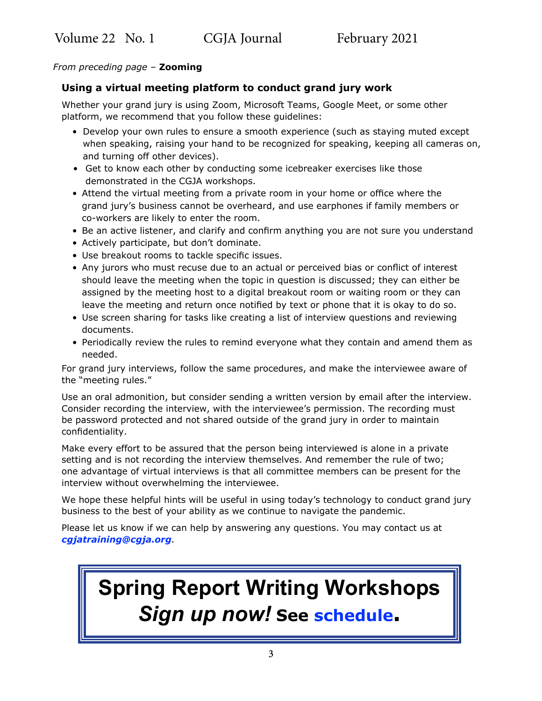#### *From preceding page –* **Zooming**

#### **Using a virtual meeting platform to conduct grand jury work**

Whether your grand jury is using Zoom, Microsoft Teams, Google Meet, or some other platform, we recommend that you follow these guidelines:

- Develop your own rules to ensure a smooth experience (such as staying muted except when speaking, raising your hand to be recognized for speaking, keeping all cameras on, and turning off other devices).
- Get to know each other by conducting some icebreaker exercises like those demonstrated in the CGJA workshops.
- Attend the virtual meeting from a private room in your home or office where the grand jury's business cannot be overheard, and use earphones if family members or co-workers are likely to enter the room.
- Be an active listener, and clarify and confirm anything you are not sure you understand
- Actively participate, but don't dominate.
- Use breakout rooms to tackle specific issues.
- Any jurors who must recuse due to an actual or perceived bias or conflict of interest should leave the meeting when the topic in question is discussed; they can either be assigned by the meeting host to a digital breakout room or waiting room or they can leave the meeting and return once notified by text or phone that it is okay to do so.
- Use screen sharing for tasks like creating a list of interview questions and reviewing documents.
- Periodically review the rules to remind everyone what they contain and amend them as needed.

For grand jury interviews, follow the same procedures, and make the interviewee aware of the "meeting rules."

Use an oral admonition, but consider sending a written version by email after the interview. Consider recording the interview, with the interviewee's permission. The recording must be password protected and not shared outside of the grand jury in order to maintain confidentiality.

Make every effort to be assured that the person being interviewed is alone in a private setting and is not recording the interview themselves. And remember the rule of two; one advantage of virtual interviews is that all committee members can be present for the interview without overwhelming the interviewee.

We hope these helpful hints will be useful in using today's technology to conduct grand jury business to the best of your ability as we continue to navigate the pandemic.

Please let us know if we can help by answering any questions. You may contact us at *[cgjatraining@cgja.org](mailto:cgjatraining%40cgja.org?subject=Zooming)*.

# **Spring Report Writing Workshops** *Sign up now!* **See [schedule.](https://cgja.org/spring-2021-report-writing-workshops)**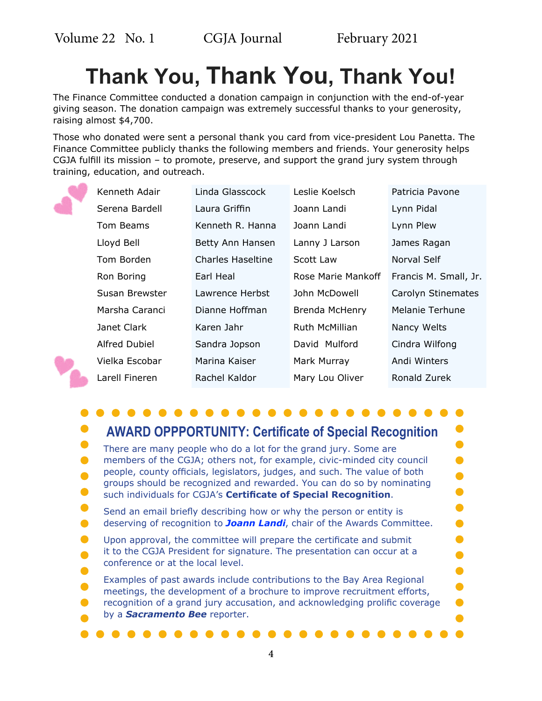$\bullet$ 

 $\bullet$ 

 $\bullet$ 

 $\bullet$ 

 $\bullet$ 

 $\bullet$ 

 $\bullet$ 

 $\bullet$ 

 $\bullet$  $\bullet$ 

# **Thank You, Thank You, Thank You!**

The Finance Committee conducted a donation campaign in conjunction with the end-of-year giving season. The donation campaign was extremely successful thanks to your generosity, raising almost \$4,700.

Those who donated were sent a personal thank you card from vice-president Lou Panetta. The Finance Committee publicly thanks the following members and friends. Your generosity helps CGJA fulfill its mission – to promote, preserve, and support the grand jury system through training, education, and outreach.



| Kenneth Adair        | Linda Glasscock          | Leslie Koelsch     | Patricia Pavone       |
|----------------------|--------------------------|--------------------|-----------------------|
| Serena Bardell       | Laura Griffin            | Joann Landi        | Lynn Pidal            |
| Tom Beams            | Kenneth R. Hanna         | Joann Landi        | Lynn Plew             |
| Lloyd Bell           | Betty Ann Hansen         | Lanny J Larson     | James Ragan           |
| Tom Borden           | <b>Charles Haseltine</b> | Scott Law          | Norval Self           |
| Ron Boring           | Earl Heal                | Rose Marie Mankoff | Francis M. Small, Jr. |
| Susan Brewster       | Lawrence Herbst          | John McDowell      | Carolyn Stinemates    |
| Marsha Caranci       | Dianne Hoffman           | Brenda McHenry     | Melanie Terhune       |
| Janet Clark          | Karen Jahr               | Ruth McMillian     | Nancy Welts           |
| <b>Alfred Dubiel</b> | Sandra Jopson            | David Mulford      | Cindra Wilfong        |
| Vielka Escobar       | Marina Kaiser            | Mark Murray        | Andi Winters          |
| Larell Fineren       | Rachel Kaldor            | Mary Lou Oliver    | Ronald Zurek          |

### **AWARD OPPPORTUNITY: Certificate of Special Recognition**

- $\bullet$ There are many people who do a lot for the grand jury. Some are  $\bullet$ members of the CGJA; others not, for example, civic-minded city council people, county officials, legislators, judges, and such. The value of both  $\bullet$ groups should be recognized and rewarded. You can do so by nominating  $\bullet$ such individuals for CGJA's **Certificate of Special Recognition**.
- $\bullet$ Send an email briefly describing how or why the person or entity is deserving of recognition to *[Joann Landi](mailto:joannelandi%40aol.com?subject=CGJA%20Certificate%20of%20Special%20Recognition)*, chair of the Awards Committee.  $\bullet$
- Upon approval, the committee will prepare the certificate and submit  $\bullet$ it to the CGJA President for signature. The presentation can occur at a  $\bullet$ conference or at the local level.
- $\bullet$ Examples of past awards include contributions to the Bay Area Regional meetings, the development of a brochure to improve recruitment efforts, recognition of a grand jury accusation, and acknowledging prolific coverage
- by a *Sacramento Bee* reporter.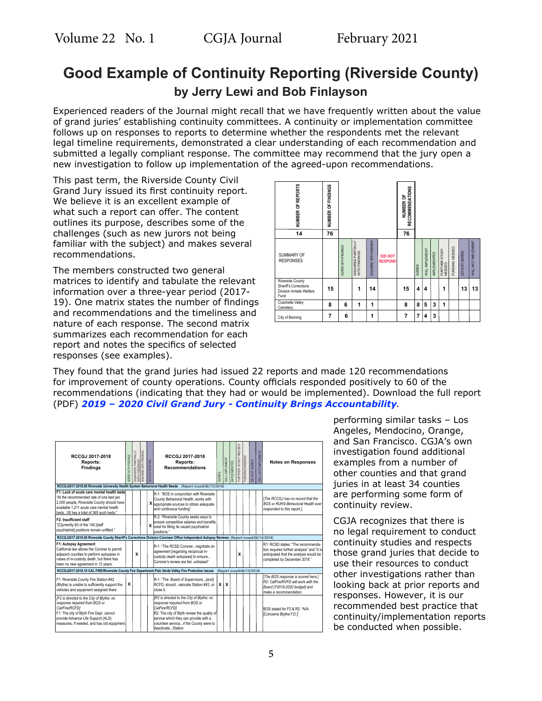### **Good Example of Continuity Reporting (Riverside County) by Jerry Lewi and Bob Finlayson**

Experienced readers of the Journal might recall that we have frequently written about the value of grand juries' establishing continuity committees. A continuity or implementation committee follows up on responses to reports to determine whether the respondents met the relevant legal timeline requirements, demonstrated a clear understanding of each recommendation and submitted a legally compliant response. The committee may recommend that the jury open a new investigation to follow up implementation of the agreed-upon recommendations.

This past term, the Riverside County Civil Grand Jury issued its first continuity report. We believe it is an excellent example of what such a report can offer. The content outlines its purpose, describes some of the challenges (such as new jurors not being familiar with the subject) and makes several recommendations.

The members constructed two general matrices to identify and tabulate the relevant information over a three-year period (2017- 19). One matrix states the number of findings and recommendations and the timeliness and nature of each response. The second matrix summarizes each recommendation for each report and notes the specifics of selected responses (see examples).



They found that the grand juries had issued 22 reports and made 120 recommendations for improvement of county operations. County officials responded positively to 60 of the recommendations (indicating that they had or would be implemented). Download the full report (PDF) *[2019 – 2020 Civil Grand Jury - Continuity Brings Accountability](http://rivco.org/sites/default/files/2020/11/Continuity_Report.pdf)*.

| RCCGJ 2017-2018<br>Reports:<br><b>Findings</b>                                                                                                                                                                               | AGREE WITH FINDINGS | DISAGREE PARTIALLY<br>WITH FINDINGS<br>DISAGREE WITH FINDINGS | <b>DID NOT RESPOND</b> | RCCGJ 2017-2018<br>Reports:<br><b>Recommendations</b>                                                                                                                                                                                              | AGREE | <b>NILL IMPLEMENT</b>     | MPLEMENTED | FURTHER STUDY NEEDED | <b>UNDING NEEDED</b>       | <b>DONOT AGREE</b> | <b><i>NILL NOT IMPLEMENT</i></b> | <b>Notes on Responses</b>                                                                                                                                 |
|------------------------------------------------------------------------------------------------------------------------------------------------------------------------------------------------------------------------------|---------------------|---------------------------------------------------------------|------------------------|----------------------------------------------------------------------------------------------------------------------------------------------------------------------------------------------------------------------------------------------------|-------|---------------------------|------------|----------------------|----------------------------|--------------------|----------------------------------|-----------------------------------------------------------------------------------------------------------------------------------------------------------|
| RCCGJ2017-2018.08 Riverside University Health System Behavioral Health Needs (Report issued:06/13/2018)                                                                                                                      |                     |                                                               |                        |                                                                                                                                                                                                                                                    |       |                           |            |                      |                            |                    |                                  |                                                                                                                                                           |
| F1: Lack of acute care mental health beds<br>"At the recommended rate of one bed per<br>2,000 people, Riverside County should have<br>available 1.211 acute care mental health<br>beds fit1 has a total of 365 such beds."   |                     |                                                               |                        | R-1: "BOS in coniunction with Riverside<br>County Behavioral Health, works with<br>X appropriate sources to obtain adequate<br>and continuous funding"                                                                                             |       |                           |            |                      |                            |                    |                                  | The RCCGJ has no record that the<br><b>BOS or RUHS-Behavioral Health ever</b><br>responded to this report.].                                              |
| F2: Insufficient staff<br>"[C]urrently 60 of the 140 [staff<br>psychiatrist] positions remain unfilled."                                                                                                                     |                     |                                                               | x                      | R-2: "Riverside County seeks ways to<br>ensure competitive salaries and benefits<br>exist for filling its vacant psychiatrist<br>nositions."                                                                                                       |       |                           |            |                      |                            |                    |                                  |                                                                                                                                                           |
| RCCGJ2017-2018.09 Riverside County Sheriff's Corrections Division Coroneer Office Independent Autopsy Reviews (Report issued:06/14/2018)                                                                                     |                     |                                                               |                        |                                                                                                                                                                                                                                                    |       |                           |            |                      |                            |                    |                                  |                                                                                                                                                           |
| F1: Autopsy Agreement<br>California law allows the Coroner to permit<br>adjacent counties to perform autopsies in<br>cases of in-custody death, but there has<br>been no new agreement in 13 years.                          |                     | x                                                             |                        | R-1: "The RCSD Coronernegotiate an<br>agreement [regarding reciprocal in-<br>custody death autopsies] to ensure<br>Coroner's review are fair, unbiased"                                                                                            |       |                           |            | x                    |                            |                    |                                  | R1: RCSD states: "The recommenda-<br>tion requires further analysis" and "it is<br>anticipated that the analysis would be<br>completed by December 2018." |
| RCCGJ2017-2018.10 CAL FIRE/Riverside County Fire Department Palo Verde Valley Fire Protection Issues                                                                                                                         |                     |                                                               |                        |                                                                                                                                                                                                                                                    |       |                           |            |                      | (Report issued:06/14/2018) |                    |                                  |                                                                                                                                                           |
| F1: Riverside County Fire Station #42<br>(Blythe) is unable to sufficiently support the<br>vehicles and equipment assigned there.                                                                                            | x                   |                                                               |                        | R-1: "The Board of Supervisors{and]<br>RCFD, shouldrelocate Station #43, or<br>close it.                                                                                                                                                           | x     | $\boldsymbol{\mathsf{x}}$ |            |                      |                            |                    |                                  | [The BOS response is scored here.]<br>R2: CalFire/RVFD will work with the<br>Board [Y2019-2020 budget] and<br>make a recommendation.                      |
| [F2 is directed to the City of Blythe; no<br>response required from BOS or<br>Cal/Fire/RCFD]<br>F1: The city of Blyth Fire Dept. cannot<br>provide Advance Life Support (ALS)<br>measures, if needed, and has old equipment. |                     |                                                               |                        | [R2 is directed to the City of Blythe; no<br>response required from BOS or<br>CalFire/RCFD1<br>R2: The city of Blyth review the quality of<br>service which they can provide with a<br>volunteer serviceif the County were to<br>deactivateStation |       |                           |            |                      |                            |                    |                                  | BOS stated for F2 & R2: "N/A<br>[Concerns Blythe F.D.]"                                                                                                   |

performing similar tasks – Los Angeles, Mendocino, Orange, and San Francisco. CGJA's own investigation found additional examples from a number of other counties and that grand juries in at least 34 counties are performing some form of continuity review.

CGJA recognizes that there is no legal requirement to conduct continuity studies and respects those grand juries that decide to use their resources to conduct other investigations rather than looking back at prior reports and responses. However, it is our recommended best practice that continuity/implementation reports be conducted when possible.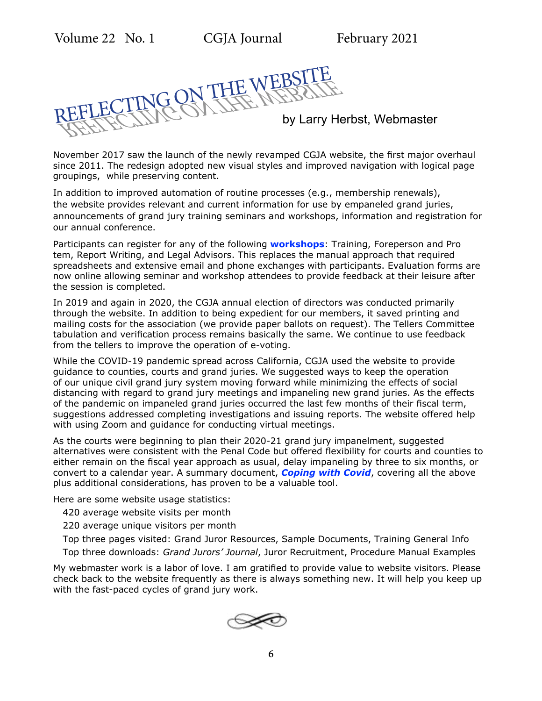REFLECTING ON THE WEBSITE REFLECTING ON THE WEBSITE by Larry Herbst, Webmaster

November 2017 saw the launch of the newly revamped CGJA website, the first major overhaul since 2011. The redesign adopted new visual styles and improved navigation with logical page groupings, while preserving content.

In addition to improved automation of routine processes (e.g., membership renewals), the website provides relevant and current information for use by empaneled grand juries, announcements of grand jury training seminars and workshops, information and registration for our annual conference.

Participants can register for any of the following **[workshops](https://cgja.org/training-general-information)**: Training, Foreperson and Pro tem, Report Writing, and Legal Advisors. This replaces the manual approach that required spreadsheets and extensive email and phone exchanges with participants. Evaluation forms are now online allowing seminar and workshop attendees to provide feedback at their leisure after the session is completed.

In 2019 and again in 2020, the CGJA annual election of directors was conducted primarily through the website. In addition to being expedient for our members, it saved printing and mailing costs for the association (we provide paper ballots on request). The Tellers Committee tabulation and verification process remains basically the same. We continue to use feedback from the tellers to improve the operation of e-voting.

While the COVID-19 pandemic spread across California, CGJA used the website to provide guidance to counties, courts and grand juries. We suggested ways to keep the operation of our unique civil grand jury system moving forward while minimizing the effects of social distancing with regard to grand jury meetings and impaneling new grand juries. As the effects of the pandemic on impaneled grand juries occurred the last few months of their fiscal term, suggestions addressed completing investigations and issuing reports. The website offered help with using Zoom and guidance for conducting virtual meetings.

As the courts were beginning to plan their 2020-21 grand jury impanelment, suggested alternatives were consistent with the Penal Code but offered flexibility for courts and counties to either remain on the fiscal year approach as usual, delay impaneling by three to six months, or convert to a calendar year. A summary document, *[Coping with Covid](https://cgja.org/coronavirus-guidelines#Coping)*, covering all the above plus additional considerations, has proven to be a valuable tool.

Here are some website usage statistics:

- 420 average website visits per month
- 220 average unique visitors per month
- Top three pages visited: Grand Juror Resources, Sample Documents, Training General Info
- Top three downloads: *Grand Jurors' Journal*, Juror Recruitment, Procedure Manual Examples

My webmaster work is a labor of love. I am gratified to provide value to website visitors. Please check back to the website frequently as there is always something new. It will help you keep up with the fast-paced cycles of grand jury work.

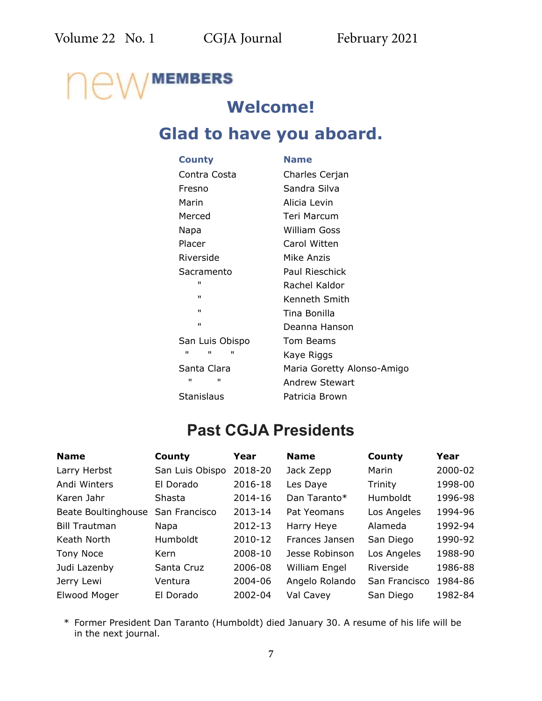## **MEMBERS Welcome!**

### **Glad to have you aboard.**

| <b>County</b>          | <b>Name</b>                |
|------------------------|----------------------------|
| Contra Costa           | Charles Cerjan             |
| Fresno                 | Sandra Silva               |
| Marin                  | Alicia Levin               |
| Merced                 | Teri Marcum                |
| Napa                   | William Goss               |
| Placer                 | Carol Witten               |
| Riverside              | Mike Anzis                 |
| Sacramento             | Paul Rieschick             |
| п                      | Rachel Kaldor              |
| $\mathbf{H}$           | Kenneth Smith              |
| $\mathbf{H}$           | Tina Bonilla               |
| $\mathbf{H}$           | Deanna Hanson              |
| San Luis Obispo        | <b>Tom Beams</b>           |
| $\mathbf{u}$<br>п<br>п | Kaye Riggs                 |
| Santa Clara            | Maria Goretty Alonso-Amigo |
| $\blacksquare$<br>п    | <b>Andrew Stewart</b>      |
| Stanislaus             | Patricia Brown             |

### **Past CGJA Presidents**

| <b>Name</b>          | County          | Year    | <b>Name</b>    | County        | Year    |
|----------------------|-----------------|---------|----------------|---------------|---------|
| Larry Herbst         | San Luis Obispo | 2018-20 | Jack Zepp      | Marin         | 2000-02 |
| Andi Winters         | El Dorado       | 2016-18 | Les Daye       | Trinity       | 1998-00 |
| Karen Jahr           | Shasta          | 2014-16 | Dan Taranto*   | Humboldt      | 1996-98 |
| Beate Boultinghouse  | San Francisco   | 2013-14 | Pat Yeomans    | Los Angeles   | 1994-96 |
| <b>Bill Trautman</b> | Napa            | 2012-13 | Harry Heye     | Alameda       | 1992-94 |
| Keath North          | Humboldt        | 2010-12 | Frances Jansen | San Diego     | 1990-92 |
| Tony Noce            | Kern            | 2008-10 | Jesse Robinson | Los Angeles   | 1988-90 |
| Judi Lazenby         | Santa Cruz      | 2006-08 | William Engel  | Riverside     | 1986-88 |
| Jerry Lewi           | Ventura         | 2004-06 | Angelo Rolando | San Francisco | 1984-86 |
| Elwood Moger         | El Dorado       | 2002-04 | Val Cavey      | San Diego     | 1982-84 |

\* Former President Dan Taranto (Humboldt) died January 30. A resume of his life will be in the next journal.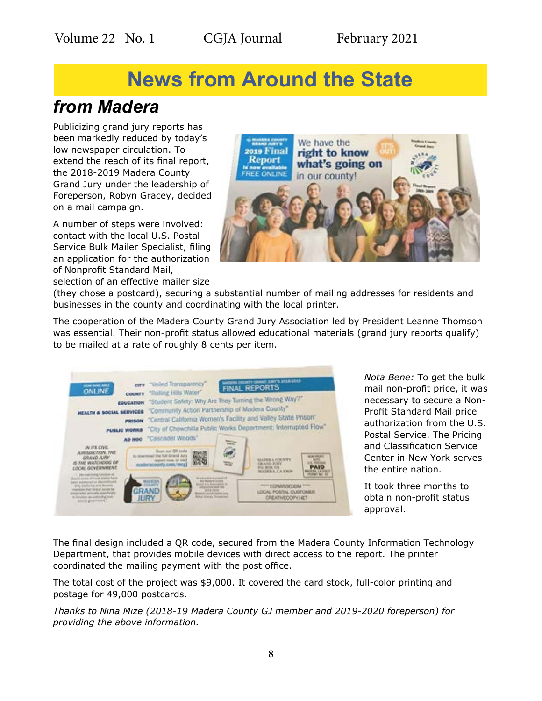## **News from Around the State**

### *from Madera*

Publicizing grand jury reports has been markedly reduced by today's low newspaper circulation. To extend the reach of its final report, the 2018-2019 Madera County Grand Jury under the leadership of Foreperson, Robyn Gracey, decided on a mail campaign.

A number of steps were involved: contact with the local U.S. Postal Service Bulk Mailer Specialist, filing an application for the authorization of Nonprofit Standard Mail, selection of an effective mailer size



(they chose a postcard), securing a substantial number of mailing addresses for residents and businesses in the county and coordinating with the local printer.

The cooperation of the Madera County Grand Jury Association led by President Leanne Thomson was essential. Their non-profit status allowed educational materials (grand jury reports qualify) to be mailed at a rate of roughly 8 cents per item.

| <b>CITY</b><br>NOW HOME AREA<br>ONLINE                                                                                                                                                                                                                      | "Veiled Transparency"<br>county "Rolling Hills Water"                                                                                                                                          | GAINA COUNTY GRAND JUNY'S 2018-2013<br><b>FINAL REPORTS</b>                                 |  |
|-------------------------------------------------------------------------------------------------------------------------------------------------------------------------------------------------------------------------------------------------------------|------------------------------------------------------------------------------------------------------------------------------------------------------------------------------------------------|---------------------------------------------------------------------------------------------|--|
| EDUCATION<br><b>HEALTH &amp; SOCIAL SERVICES</b><br><b>PRISON</b>                                                                                                                                                                                           | "Student Safety: Why Are They Turning the Wrong Way?"<br>"Community Action Partnership of Madera County"<br>"Central California Women's Facility and Valley State Prison"                      |                                                                                             |  |
| PUBLIC WORKS<br>AD HOO<br>IN ITS CIVIL<br><b>JURISDICTION, THE</b><br>GRAND AIRY<br>IS THE WATCHDOG OF                                                                                                                                                      | "City of Chowchilla Public Works Department; Interrupted Flow"<br>"Cascadel Woods"<br>Scan out OR code<br>to download the full Grand Jury<br>FT FORM, DF YOU<br>adverted marks colors (thical) | <b>MADEMA COCATT</b><br><b>GRAND SURY</b><br><b>PO BOX 514</b>                              |  |
| LOCAL GOVERNMENT<br>into quantities of function of<br>Scand Autom of Hour Warren Arkit<br>plant automotive floor shifts<br>a California and Newada<br>expensive that Sharaf Arrest be-<br>emplarated animatic specifically<br>in Autumn as with Ad at their | We descriptional properties<br><b>MADER</b>                                                                                                                                                    | <b>MATRICA IT A STATE</b><br><b>ECRASSICOM</b><br>LOCAL POSTAL CUSTOMER<br>CREATIVEOOPY/NET |  |

*Nota Bene:* To get the bulk mail non-profit price, it was necessary to secure a Non-Profit Standard Mail price authorization from the U.S. Postal Service. The Pricing and Classification Service Center in New York serves the entire nation.

It took three months to obtain non-profit status approval.

The final design included a QR code, secured from the Madera County Information Technology Department, that provides mobile devices with direct access to the report. The printer coordinated the mailing payment with the post office.

The total cost of the project was \$9,000. It covered the card stock, full-color printing and postage for 49,000 postcards.

*Thanks to Nina Mize (2018-19 Madera County GJ member and 2019-2020 foreperson) for providing the above information.*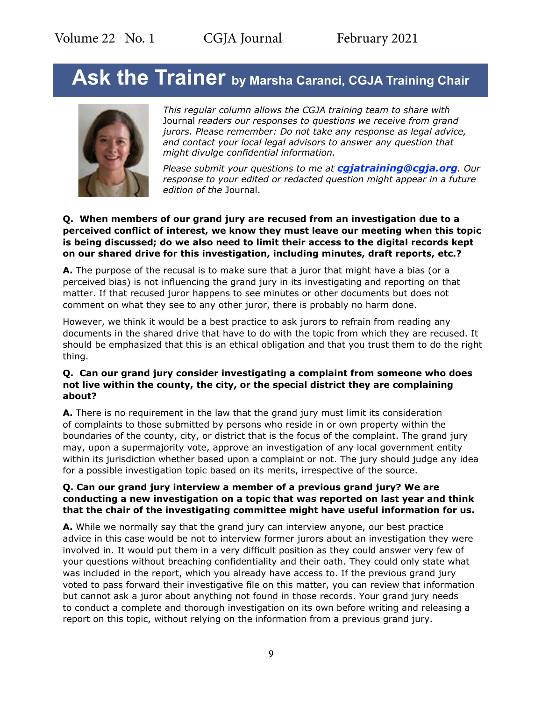## Ask the Trainer by Marsha Caranci, CGJA Training Chair



*This regular column allows the CGJA training team to share with*  Journal *readers our responses to questions we receive from grand jurors. Please remember: Do not take any response as legal advice, and contact your local legal advisors to answer any question that might divulge confidential information.* 

*Please submit your questions to me at [cgjatraining@cgja.org](mailto:cgjatraining%40cgja.org?subject=CGJA%20Training). Our response to your edited or redacted question might appear in a future edition of the* Journal.

#### **Q. When members of our grand jury are recused from an investigation due to a perceived conflict of interest, we know they must leave our meeting when this topic is being discussed; do we also need to limit their access to the digital records kept on our shared drive for this investigation, including minutes, draft reports, etc.?**

**A.** The purpose of the recusal is to make sure that a juror that might have a bias (or a perceived bias) is not influencing the grand jury in its investigating and reporting on that matter. If that recused juror happens to see minutes or other documents but does not comment on what they see to any other juror, there is probably no harm done.

However, we think it would be a best practice to ask jurors to refrain from reading any documents in the shared drive that have to do with the topic from which they are recused. It should be emphasized that this is an ethical obligation and that you trust them to do the right thing.

#### **Q. Can our grand jury consider investigating a complaint from someone who does not live within the county, the city, or the special district they are complaining about?**

**A.** There is no requirement in the law that the grand jury must limit its consideration of complaints to those submitted by persons who reside in or own property within the boundaries of the county, city, or district that is the focus of the complaint. The grand jury may, upon a supermajority vote, approve an investigation of any local government entity within its jurisdiction whether based upon a complaint or not. The jury should judge any idea for a possible investigation topic based on its merits, irrespective of the source.

#### **Q. Can our grand jury interview a member of a previous grand jury? We are conducting a new investigation on a topic that was reported on last year and think that the chair of the investigating committee might have useful information for us.**

**A.** While we normally say that the grand jury can interview anyone, our best practice advice in this case would be not to interview former jurors about an investigation they were involved in. It would put them in a very difficult position as they could answer very few of your questions without breaching confidentiality and their oath. They could only state what was included in the report, which you already have access to. If the previous grand jury voted to pass forward their investigative file on this matter, you can review that information but cannot ask a juror about anything not found in those records. Your grand jury needs to conduct a complete and thorough investigation on its own before writing and releasing a report on this topic, without relying on the information from a previous grand jury.